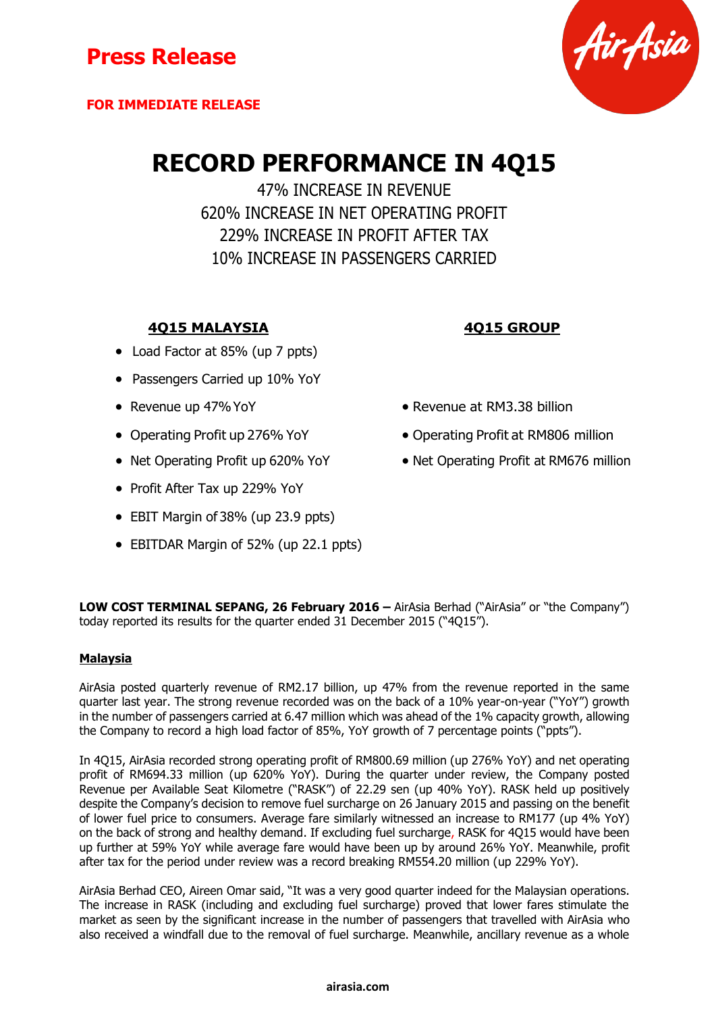

# **RECORD PERFORMANCE IN 4Q15**

47% INCREASE IN REVENUE 620% INCREASE IN NET OPERATING PROFIT 229% INCREASE IN PROFIT AFTER TAX 10% INCREASE IN PASSENGERS CARRIED

## **4Q15 MALAYSIA 4Q15 GROUP**

- Load Factor at 85% (up 7 ppts)
- Passengers Carried up 10% YoY
- 
- 
- 
- Profit After Tax up 229% YoY
- EBIT Margin of 38% (up 23.9 ppts)
- EBITDAR Margin of 52% (up 22.1 ppts)
- 
- Revenue up 47% YoY **Revenue at RM3.38 billion**
- Operating Profit up 276% YoY **•** Operating Profit at RM806 million
- Net Operating Profit up 620% YoY Net Operating Profit at RM676 million

**LOW COST TERMINAL SEPANG, 26 February 2016 –** AirAsia Berhad ("AirAsia" or "the Company") today reported its results for the quarter ended 31 December 2015 ("4Q15").

### **Malaysia**

AirAsia posted quarterly revenue of RM2.17 billion, up 47% from the revenue reported in the same quarter last year. The strong revenue recorded was on the back of a 10% year-on-year ("YoY") growth in the number of passengers carried at 6.47 million which was ahead of the 1% capacity growth, allowing the Company to record a high load factor of 85%, YoY growth of 7 percentage points ("ppts").

In 4Q15, AirAsia recorded strong operating profit of RM800.69 million (up 276% YoY) and net operating profit of RM694.33 million (up 620% YoY). During the quarter under review, the Company posted Revenue per Available Seat Kilometre ("RASK") of 22.29 sen (up 40% YoY). RASK held up positively despite the Company's decision to remove fuel surcharge on 26 January 2015 and passing on the benefit of lower fuel price to consumers. Average fare similarly witnessed an increase to RM177 (up 4% YoY) on the back of strong and healthy demand. If excluding fuel surcharge, RASK for 4Q15 would have been up further at 59% YoY while average fare would have been up by around 26% YoY. Meanwhile, profit after tax for the period under review was a record breaking RM554.20 million (up 229% YoY).

AirAsia Berhad CEO, Aireen Omar said, "It was a very good quarter indeed for the Malaysian operations. The increase in RASK (including and excluding fuel surcharge) proved that lower fares stimulate the market as seen by the significant increase in the number of passengers that travelled with AirAsia who also received a windfall due to the removal of fuel surcharge. Meanwhile, ancillary revenue as a whole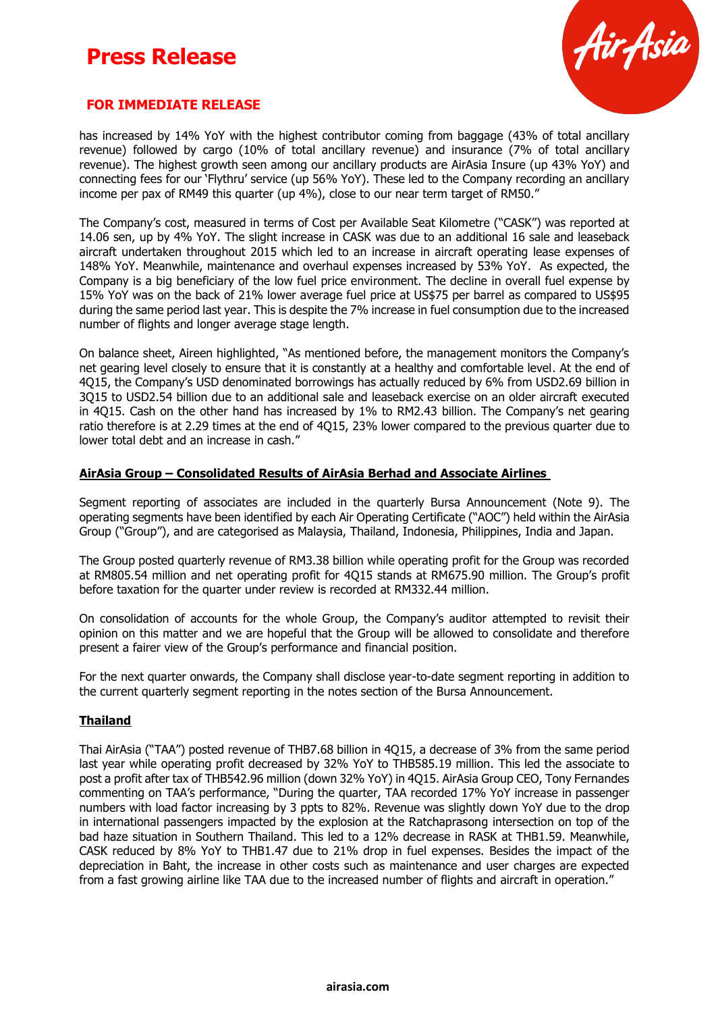## **Press Release**



## **FOR IMMEDIATE RELEASE**

has increased by 14% YoY with the highest contributor coming from baggage (43% of total ancillary revenue) followed by cargo (10% of total ancillary revenue) and insurance (7% of total ancillary revenue). The highest growth seen among our ancillary products are AirAsia Insure (up 43% YoY) and connecting fees for our 'Flythru' service (up 56% YoY). These led to the Company recording an ancillary income per pax of RM49 this quarter (up 4%), close to our near term target of RM50."

The Company's cost, measured in terms of Cost per Available Seat Kilometre ("CASK") was reported at 14.06 sen, up by 4% YoY. The slight increase in CASK was due to an additional 16 sale and leaseback aircraft undertaken throughout 2015 which led to an increase in aircraft operating lease expenses of 148% YoY. Meanwhile, maintenance and overhaul expenses increased by 53% YoY. As expected, the Company is a big beneficiary of the low fuel price environment. The decline in overall fuel expense by 15% YoY was on the back of 21% lower average fuel price at US\$75 per barrel as compared to US\$95 during the same period last year. This is despite the 7% increase in fuel consumption due to the increased number of flights and longer average stage length.

On balance sheet, Aireen highlighted, "As mentioned before, the management monitors the Company's net gearing level closely to ensure that it is constantly at a healthy and comfortable level. At the end of 4Q15, the Company's USD denominated borrowings has actually reduced by 6% from USD2.69 billion in 3Q15 to USD2.54 billion due to an additional sale and leaseback exercise on an older aircraft executed in 4Q15. Cash on the other hand has increased by 1% to RM2.43 billion. The Company's net gearing ratio therefore is at 2.29 times at the end of 4Q15, 23% lower compared to the previous quarter due to lower total debt and an increase in cash."

#### **AirAsia Group – Consolidated Results of AirAsia Berhad and Associate Airlines**

Segment reporting of associates are included in the quarterly Bursa Announcement (Note 9). The operating segments have been identified by each Air Operating Certificate ("AOC") held within the AirAsia Group ("Group"), and are categorised as Malaysia, Thailand, Indonesia, Philippines, India and Japan.

The Group posted quarterly revenue of RM3.38 billion while operating profit for the Group was recorded at RM805.54 million and net operating profit for 4Q15 stands at RM675.90 million. The Group's profit before taxation for the quarter under review is recorded at RM332.44 million.

On consolidation of accounts for the whole Group, the Company's auditor attempted to revisit their opinion on this matter and we are hopeful that the Group will be allowed to consolidate and therefore present a fairer view of the Group's performance and financial position.

For the next quarter onwards, the Company shall disclose year-to-date segment reporting in addition to the current quarterly segment reporting in the notes section of the Bursa Announcement.

#### **Thailand**

Thai AirAsia ("TAA") posted revenue of THB7.68 billion in 4Q15, a decrease of 3% from the same period last year while operating profit decreased by 32% YoY to THB585.19 million. This led the associate to post a profit after tax of THB542.96 million (down 32% YoY) in 4Q15. AirAsia Group CEO, Tony Fernandes commenting on TAA's performance, "During the quarter, TAA recorded 17% YoY increase in passenger numbers with load factor increasing by 3 ppts to 82%. Revenue was slightly down YoY due to the drop in international passengers impacted by the explosion at the Ratchaprasong intersection on top of the bad haze situation in Southern Thailand. This led to a 12% decrease in RASK at THB1.59. Meanwhile, CASK reduced by 8% YoY to THB1.47 due to 21% drop in fuel expenses. Besides the impact of the depreciation in Baht, the increase in other costs such as maintenance and user charges are expected from a fast growing airline like TAA due to the increased number of flights and aircraft in operation."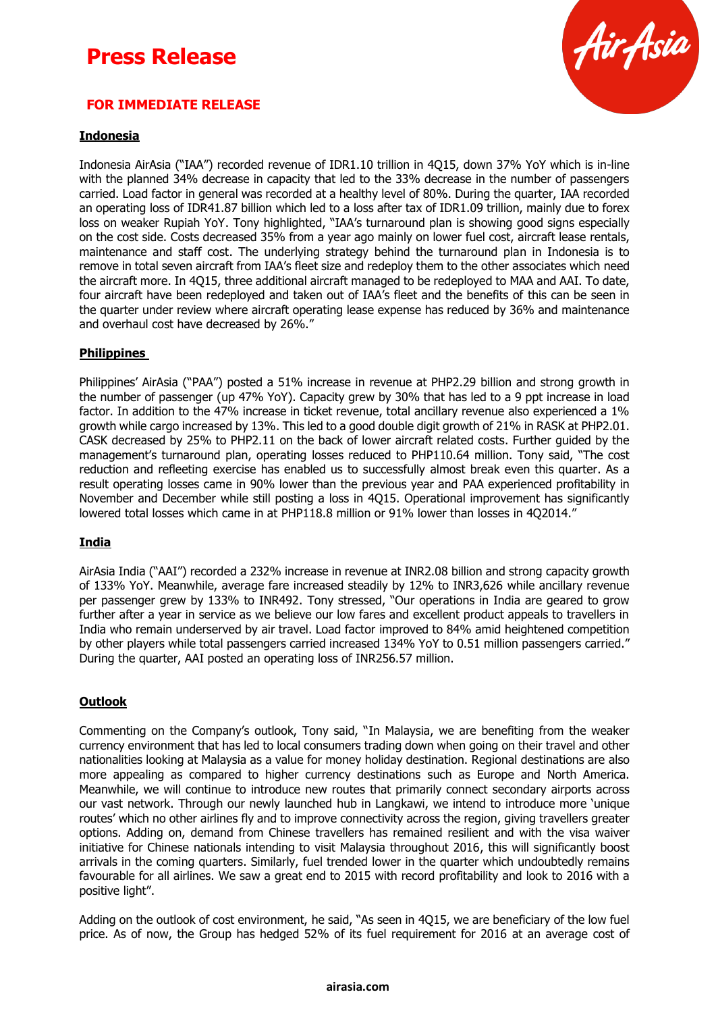## **Press Release**



## **FOR IMMEDIATE RELEASE**

### **Indonesia**

Indonesia AirAsia ("IAA") recorded revenue of IDR1.10 trillion in 4Q15, down 37% YoY which is in-line with the planned 34% decrease in capacity that led to the 33% decrease in the number of passengers carried. Load factor in general was recorded at a healthy level of 80%. During the quarter, IAA recorded an operating loss of IDR41.87 billion which led to a loss after tax of IDR1.09 trillion, mainly due to forex loss on weaker Rupiah YoY. Tony highlighted, "IAA's turnaround plan is showing good signs especially on the cost side. Costs decreased 35% from a year ago mainly on lower fuel cost, aircraft lease rentals, maintenance and staff cost. The underlying strategy behind the turnaround plan in Indonesia is to remove in total seven aircraft from IAA's fleet size and redeploy them to the other associates which need the aircraft more. In 4Q15, three additional aircraft managed to be redeployed to MAA and AAI. To date, four aircraft have been redeployed and taken out of IAA's fleet and the benefits of this can be seen in the quarter under review where aircraft operating lease expense has reduced by 36% and maintenance and overhaul cost have decreased by 26%."

#### **Philippines**

Philippines' AirAsia ("PAA") posted a 51% increase in revenue at PHP2.29 billion and strong growth in the number of passenger (up 47% YoY). Capacity grew by 30% that has led to a 9 ppt increase in load factor. In addition to the 47% increase in ticket revenue, total ancillary revenue also experienced a 1% growth while cargo increased by 13%. This led to a good double digit growth of 21% in RASK at PHP2.01. CASK decreased by 25% to PHP2.11 on the back of lower aircraft related costs. Further guided by the management's turnaround plan, operating losses reduced to PHP110.64 million. Tony said, "The cost reduction and refleeting exercise has enabled us to successfully almost break even this quarter. As a result operating losses came in 90% lower than the previous year and PAA experienced profitability in November and December while still posting a loss in 4Q15. Operational improvement has significantly lowered total losses which came in at PHP118.8 million or 91% lower than losses in 4Q2014."

#### **India**

AirAsia India ("AAI") recorded a 232% increase in revenue at INR2.08 billion and strong capacity growth of 133% YoY. Meanwhile, average fare increased steadily by 12% to INR3,626 while ancillary revenue per passenger grew by 133% to INR492. Tony stressed, "Our operations in India are geared to grow further after a year in service as we believe our low fares and excellent product appeals to travellers in India who remain underserved by air travel. Load factor improved to 84% amid heightened competition by other players while total passengers carried increased 134% YoY to 0.51 million passengers carried." During the quarter, AAI posted an operating loss of INR256.57 million.

#### **Outlook**

Commenting on the Company's outlook, Tony said, "In Malaysia, we are benefiting from the weaker currency environment that has led to local consumers trading down when going on their travel and other nationalities looking at Malaysia as a value for money holiday destination. Regional destinations are also more appealing as compared to higher currency destinations such as Europe and North America. Meanwhile, we will continue to introduce new routes that primarily connect secondary airports across our vast network. Through our newly launched hub in Langkawi, we intend to introduce more 'unique routes' which no other airlines fly and to improve connectivity across the region, giving travellers greater options. Adding on, demand from Chinese travellers has remained resilient and with the visa waiver initiative for Chinese nationals intending to visit Malaysia throughout 2016, this will significantly boost arrivals in the coming quarters. Similarly, fuel trended lower in the quarter which undoubtedly remains favourable for all airlines. We saw a great end to 2015 with record profitability and look to 2016 with a positive light".

Adding on the outlook of cost environment, he said, "As seen in 4Q15, we are beneficiary of the low fuel price. As of now, the Group has hedged 52% of its fuel requirement for 2016 at an average cost of